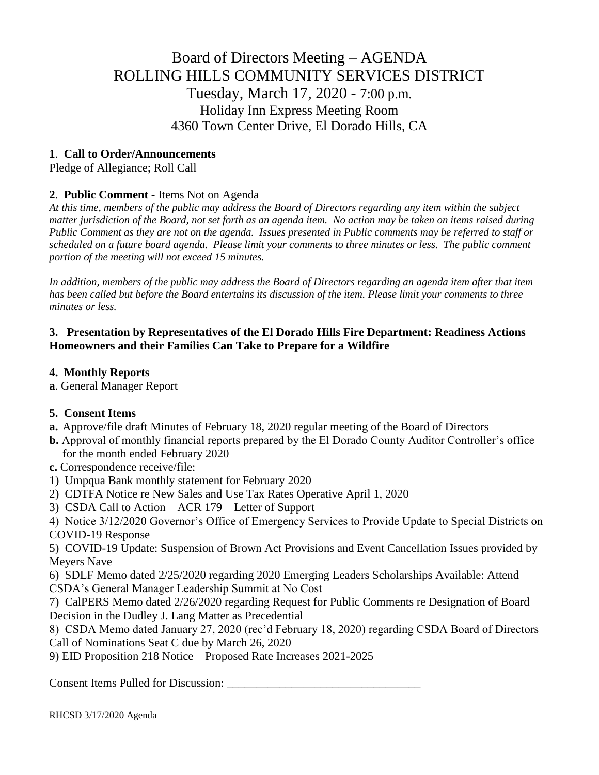# Board of Directors Meeting – AGENDA ROLLING HILLS COMMUNITY SERVICES DISTRICT Tuesday, March 17, 2020 - 7:00 p.m. Holiday Inn Express Meeting Room 4360 Town Center Drive, El Dorado Hills, CA

# **1**. **Call to Order/Announcements**

Pledge of Allegiance; Roll Call

# **2**. **Public Comment** - Items Not on Agenda

*At this time, members of the public may address the Board of Directors regarding any item within the subject matter jurisdiction of the Board, not set forth as an agenda item. No action may be taken on items raised during Public Comment as they are not on the agenda. Issues presented in Public comments may be referred to staff or scheduled on a future board agenda. Please limit your comments to three minutes or less. The public comment portion of the meeting will not exceed 15 minutes.*

*In addition, members of the public may address the Board of Directors regarding an agenda item after that item has been called but before the Board entertains its discussion of the item. Please limit your comments to three minutes or less.*

## **3. Presentation by Representatives of the El Dorado Hills Fire Department: Readiness Actions Homeowners and their Families Can Take to Prepare for a Wildfire**

## **4. Monthly Reports**

**a**. General Manager Report

# **5. Consent Items**

- **a.** Approve/file draft Minutes of February 18, 2020 regular meeting of the Board of Directors
- **b.** Approval of monthly financial reports prepared by the El Dorado County Auditor Controller's office for the month ended February 2020
- **c.** Correspondence receive/file:
- 1) Umpqua Bank monthly statement for February 2020
- 2) CDTFA Notice re New Sales and Use Tax Rates Operative April 1, 2020
- 3) CSDA Call to Action ACR 179 Letter of Support
- 4) Notice 3/12/2020 Governor's Office of Emergency Services to Provide Update to Special Districts on COVID-19 Response

5) COVID-19 Update: Suspension of Brown Act Provisions and Event Cancellation Issues provided by Meyers Nave

6) SDLF Memo dated 2/25/2020 regarding 2020 Emerging Leaders Scholarships Available: Attend CSDA's General Manager Leadership Summit at No Cost

7) CalPERS Memo dated 2/26/2020 regarding Request for Public Comments re Designation of Board Decision in the Dudley J. Lang Matter as Precedential

8) CSDA Memo dated January 27, 2020 (rec'd February 18, 2020) regarding CSDA Board of Directors Call of Nominations Seat C due by March 26, 2020

9) EID Proposition 218 Notice – Proposed Rate Increases 2021-2025

Consent Items Pulled for Discussion: \_\_\_\_\_\_\_\_\_\_\_\_\_\_\_\_\_\_\_\_\_\_\_\_\_\_\_\_\_\_\_\_\_

RHCSD 3/17/2020 Agenda